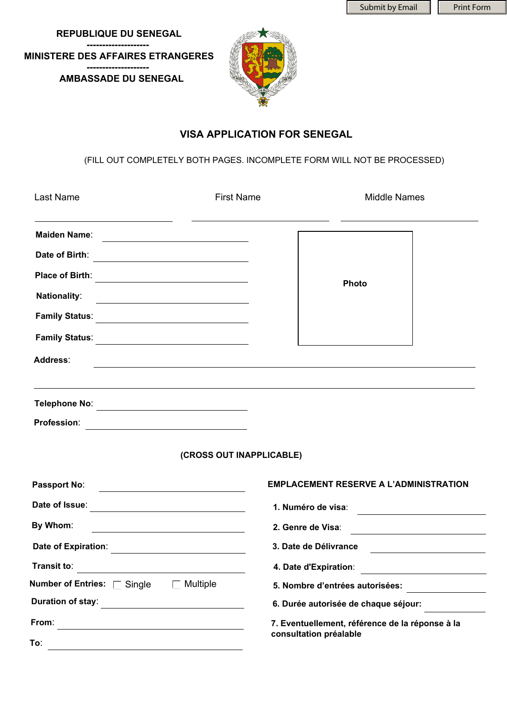Submit by Email  $\|\cdot\|$  Print Form

 **REPUBLIQUE DU SENEGAL -------------------- MINISTERE DES AFFAIRES ETRANGERES -------------------- AMBASSADE DU SENEGAL**



## **VISA APPLICATION FOR SENEGAL**

(FILL OUT COMPLETELY BOTH PAGES. INCOMPLETE FORM WILL NOT BE PROCESSED)

| <b>Last Name</b>                                                                                                                             | <b>First Name</b>        | <b>Middle Names</b>                                                                                                                       |  |
|----------------------------------------------------------------------------------------------------------------------------------------------|--------------------------|-------------------------------------------------------------------------------------------------------------------------------------------|--|
| Maiden Name:                                                                                                                                 |                          |                                                                                                                                           |  |
| Date of Birth:<br><u> 1989 - Johann Barbara, martxa alemaniar a</u>                                                                          |                          |                                                                                                                                           |  |
| <b>Place of Birth:</b><br><u> 1980 - Andrea State Barbara, poeta esp</u>                                                                     |                          | <b>Photo</b>                                                                                                                              |  |
| <b>Nationality:</b>                                                                                                                          |                          |                                                                                                                                           |  |
| <b>Family Status:</b><br><u> 1989 - Johann Barn, mars eta bainar eta baina eta baina eta baina eta baina eta baina eta baina eta baina e</u> |                          |                                                                                                                                           |  |
| <b>Family Status:</b>                                                                                                                        |                          |                                                                                                                                           |  |
| Address:                                                                                                                                     |                          | <u> 1989 - Johann Stoff, amerikansk politiker (d. 1989)</u>                                                                               |  |
|                                                                                                                                              |                          | ,我们也不会有什么。""我们的人,我们也不会有什么?""我们的人,我们也不会有什么?""我们的人,我们也不会有什么?""我们的人,我们也不会有什么?""我们的人                                                          |  |
| <b>Profession:</b><br><u> 1989 - Johann Barbara, martin amerikan basar dan berasal dalam basa dalam basar dalam basar dalam basar dala</u>   |                          |                                                                                                                                           |  |
|                                                                                                                                              | (CROSS OUT INAPPLICABLE) |                                                                                                                                           |  |
| Passport No:<br><u> 1980 - Jan Samuel Barbara, político establecente de la propia de la propia de la propia de la propia de la p</u>         |                          | <b>EMPLACEMENT RESERVE A L'ADMINISTRATION</b>                                                                                             |  |
| Date of Issue:<br><u> 1980 - Johann Barn, fransk politik amerikansk politik (</u>                                                            |                          | 1. Numéro de visa:<br><u> 1989 - Andrea Station Barbara, amerikan per</u>                                                                 |  |
| By Whom:                                                                                                                                     |                          | 2. Genre de Visa:<br><u> 1980 - Johann Barn, mars ann an t-Amhain Aonaich an t-Aonaich an t-Aonaich ann an t-Aonaich ann an t-Aonaich</u> |  |
| Date of Expiration:<br><u> 1980 - Jan Samuel Barbara, politik eta politik eta politik eta politik eta politik eta politik eta politik e</u>  |                          | 3. Date de Délivrance                                                                                                                     |  |
| Transit to:                                                                                                                                  |                          | 4. Date d'Expiration:                                                                                                                     |  |
| Number of Entries: □ Single<br>$\Box$ Multiple                                                                                               |                          | 5. Nombre d'entrées autorisées:                                                                                                           |  |
| Duration of stay:                                                                                                                            |                          | 6. Durée autorisée de chaque séjour:                                                                                                      |  |
| From:                                                                                                                                        |                          | 7. Eventuellement, référence de la réponse à la                                                                                           |  |
| To:                                                                                                                                          |                          | consultation préalable                                                                                                                    |  |